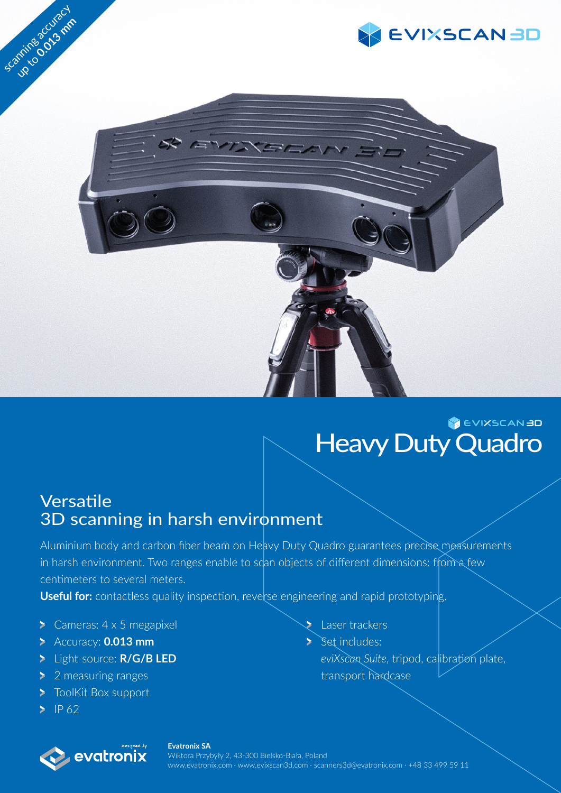



## EVIXSCAN 3D **Heavy Duty Quadro**

## Versatile 3D scanning in harsh environment

Aluminium body and carbon fiber beam on Heavy Duty Quadro guarantees precise measurements in harsh environment. Two ranges enable to scan objects of different dimensions: from a few centimeters to several meters.

**Useful for:** contactless quality inspection, reverse engineering and rapid prototyping.

- Cameras:  $4 \times 5$  megapixel
- Accuracy: **0.013 mm**
- Light-source: **R/G/B LED**
- **2** 2 measuring ranges
- **ToolKit Box support**
- $\geq$  IP 62



- Laser trackers
	- Set includes: *eviXscan Suite*, tripod, calibration plate, transport hardcase